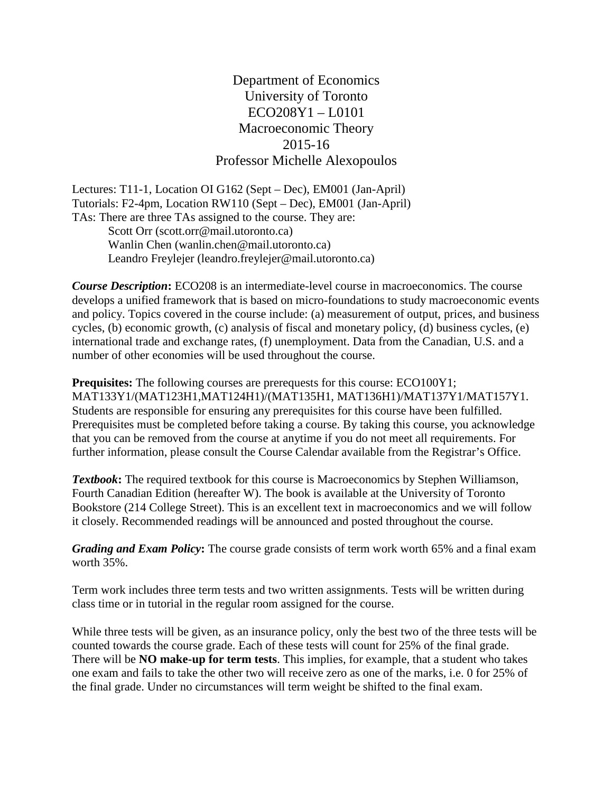Department of Economics University of Toronto ECO208Y1 – L0101 Macroeconomic Theory 2015-16 Professor Michelle Alexopoulos

Lectures: T11-1, Location OI G162 (Sept – Dec), EM001 (Jan-April) Tutorials: F2-4pm, Location RW110 (Sept – Dec), EM001 (Jan-April) TAs: There are three TAs assigned to the course. They are: Scott Orr (scott.orr@mail.utoronto.ca) Wanlin Chen (wanlin.chen@mail.utoronto.ca) Leandro Freylejer (leandro.freylejer@mail.utoronto.ca)

*Course Description***:** ECO208 is an intermediate-level course in macroeconomics. The course develops a unified framework that is based on micro-foundations to study macroeconomic events and policy. Topics covered in the course include: (a) measurement of output, prices, and business cycles, (b) economic growth, (c) analysis of fiscal and monetary policy, (d) business cycles, (e) international trade and exchange rates, (f) unemployment. Data from the Canadian, U.S. and a number of other economies will be used throughout the course.

**Prequisites:** The following courses are prerequests for this course:  $ECO100Y1$ ; MAT133Y1/(MAT123H1,MAT124H1)/(MAT135H1, MAT136H1)/MAT137Y1/MAT157Y1. Students are responsible for ensuring any prerequisites for this course have been fulfilled. Prerequisites must be completed before taking a course. By taking this course, you acknowledge that you can be removed from the course at anytime if you do not meet all requirements. For further information, please consult the Course Calendar available from the Registrar's Office.

**Textbook:** The required textbook for this course is Macroeconomics by Stephen Williamson, Fourth Canadian Edition (hereafter W). The book is available at the University of Toronto Bookstore (214 College Street). This is an excellent text in macroeconomics and we will follow it closely. Recommended readings will be announced and posted throughout the course.

*Grading and Exam Policy***:** The course grade consists of term work worth 65% and a final exam worth 35%.

Term work includes three term tests and two written assignments. Tests will be written during class time or in tutorial in the regular room assigned for the course.

While three tests will be given, as an insurance policy, only the best two of the three tests will be counted towards the course grade. Each of these tests will count for 25% of the final grade. There will be **NO make-up for term tests**. This implies, for example, that a student who takes one exam and fails to take the other two will receive zero as one of the marks, i.e. 0 for 25% of the final grade. Under no circumstances will term weight be shifted to the final exam.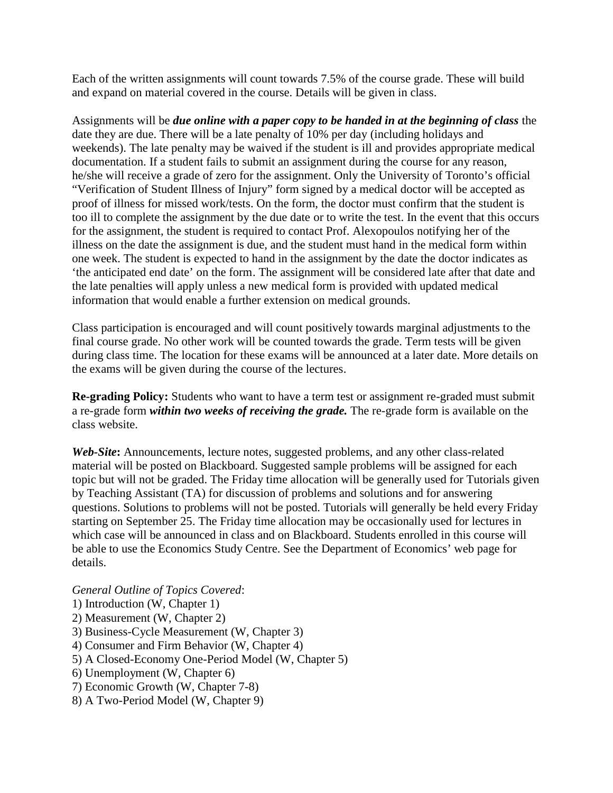Each of the written assignments will count towards 7.5% of the course grade. These will build and expand on material covered in the course. Details will be given in class.

Assignments will be *due online with a paper copy to be handed in at the beginning of class* the date they are due. There will be a late penalty of 10% per day (including holidays and weekends). The late penalty may be waived if the student is ill and provides appropriate medical documentation. If a student fails to submit an assignment during the course for any reason, he/she will receive a grade of zero for the assignment. Only the University of Toronto's official "Verification of Student Illness of Injury" form signed by a medical doctor will be accepted as proof of illness for missed work/tests. On the form, the doctor must confirm that the student is too ill to complete the assignment by the due date or to write the test. In the event that this occurs for the assignment, the student is required to contact Prof. Alexopoulos notifying her of the illness on the date the assignment is due, and the student must hand in the medical form within one week. The student is expected to hand in the assignment by the date the doctor indicates as 'the anticipated end date' on the form. The assignment will be considered late after that date and the late penalties will apply unless a new medical form is provided with updated medical information that would enable a further extension on medical grounds.

Class participation is encouraged and will count positively towards marginal adjustments to the final course grade. No other work will be counted towards the grade. Term tests will be given during class time. The location for these exams will be announced at a later date. More details on the exams will be given during the course of the lectures.

**Re-grading Policy:** Students who want to have a term test or assignment re-graded must submit a re-grade form *within two weeks of receiving the grade.* The re-grade form is available on the class website.

*Web-Site***:** Announcements, lecture notes, suggested problems, and any other class-related material will be posted on Blackboard. Suggested sample problems will be assigned for each topic but will not be graded. The Friday time allocation will be generally used for Tutorials given by Teaching Assistant (TA) for discussion of problems and solutions and for answering questions. Solutions to problems will not be posted. Tutorials will generally be held every Friday starting on September 25. The Friday time allocation may be occasionally used for lectures in which case will be announced in class and on Blackboard. Students enrolled in this course will be able to use the Economics Study Centre. See the Department of Economics' web page for details.

## *General Outline of Topics Covered*:

- 1) Introduction (W, Chapter 1)
- 2) Measurement (W, Chapter 2)
- 3) Business-Cycle Measurement (W, Chapter 3)
- 4) Consumer and Firm Behavior (W, Chapter 4)
- 5) A Closed-Economy One-Period Model (W, Chapter 5)
- 6) Unemployment (W, Chapter 6)
- 7) Economic Growth (W, Chapter 7-8)
- 8) A Two-Period Model (W, Chapter 9)